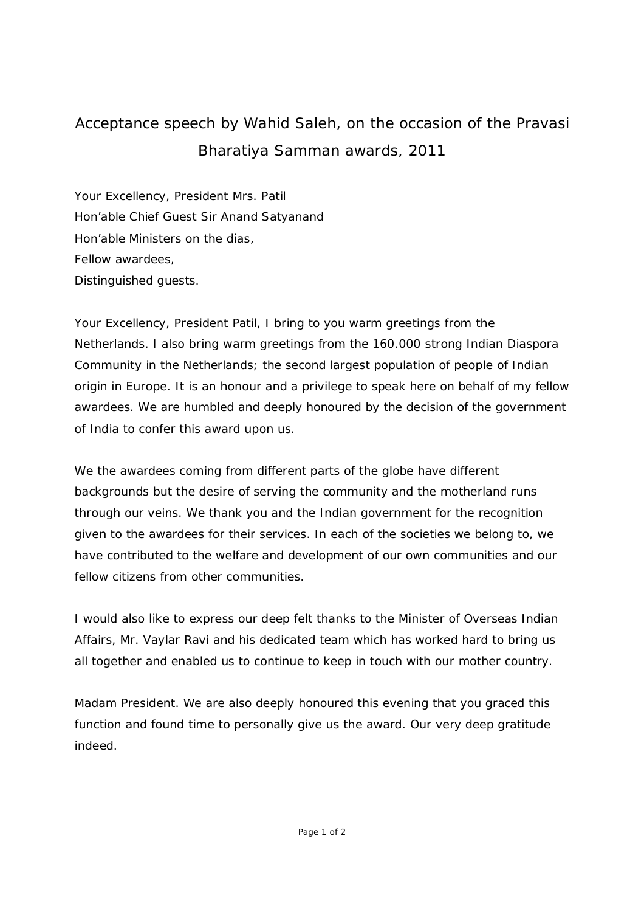## Acceptance speech by Wahid Saleh, on the occasion of the Pravasi Bharatiya Samman awards, 2011

Your Excellency, President Mrs. Patil Hon'able Chief Guest Sir Anand Satyanand Hon'able Ministers on the dias, Fellow awardees, Distinguished guests.

Your Excellency, President Patil, I bring to you warm greetings from the Netherlands. I also bring warm greetings from the 160.000 strong Indian Diaspora Community in the Netherlands; the second largest population of people of Indian origin in Europe. It is an honour and a privilege to speak here on behalf of my fellow awardees. We are humbled and deeply honoured by the decision of the government of India to confer this award upon us.

We the awardees coming from different parts of the globe have different backgrounds but the desire of serving the community and the motherland runs through our veins. We thank you and the Indian government for the recognition given to the awardees for their services. In each of the societies we belong to, we have contributed to the welfare and development of our own communities and our fellow citizens from other communities.

I would also like to express our deep felt thanks to the Minister of Overseas Indian Affairs, Mr. Vaylar Ravi and his dedicated team which has worked hard to bring us all together and enabled us to continue to keep in touch with our mother country.

Madam President. We are also deeply honoured this evening that you graced this function and found time to personally give us the award. Our very deep gratitude indeed.